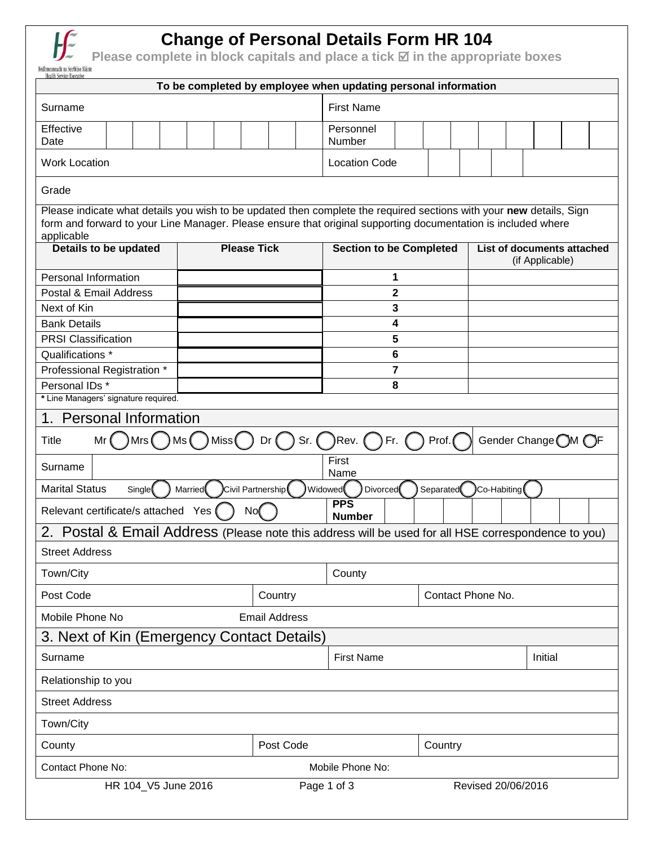

## **Change of Personal Details Form HR 104**

**Please complete in block capitals and place a tick <b>⊠** in the appropriate boxes

| To be completed by employee when updating personal information                                                                                                                                                                                                                                             |  |                      |                              |                   |                    |                                               |  |  |  |  |  |  |
|------------------------------------------------------------------------------------------------------------------------------------------------------------------------------------------------------------------------------------------------------------------------------------------------------------|--|----------------------|------------------------------|-------------------|--------------------|-----------------------------------------------|--|--|--|--|--|--|
| Surname                                                                                                                                                                                                                                                                                                    |  |                      | <b>First Name</b>            |                   |                    |                                               |  |  |  |  |  |  |
| Effective<br>Date                                                                                                                                                                                                                                                                                          |  |                      | Personnel<br>Number          |                   |                    |                                               |  |  |  |  |  |  |
| <b>Work Location</b>                                                                                                                                                                                                                                                                                       |  |                      | <b>Location Code</b>         |                   |                    |                                               |  |  |  |  |  |  |
| Grade                                                                                                                                                                                                                                                                                                      |  |                      |                              |                   |                    |                                               |  |  |  |  |  |  |
| Please indicate what details you wish to be updated then complete the required sections with your new details, Sign<br>form and forward to your Line Manager. Please ensure that original supporting documentation is included where<br>applicable<br><b>Please Tick</b><br><b>Section to be Completed</b> |  |                      |                              |                   |                    |                                               |  |  |  |  |  |  |
| <b>Details to be updated</b>                                                                                                                                                                                                                                                                               |  |                      |                              |                   |                    | List of documents attached<br>(if Applicable) |  |  |  |  |  |  |
| Personal Information                                                                                                                                                                                                                                                                                       |  |                      | 1                            |                   |                    |                                               |  |  |  |  |  |  |
| Postal & Email Address                                                                                                                                                                                                                                                                                     |  |                      | 2                            |                   |                    |                                               |  |  |  |  |  |  |
| Next of Kin                                                                                                                                                                                                                                                                                                |  |                      | 3                            |                   |                    |                                               |  |  |  |  |  |  |
| <b>Bank Details</b><br><b>PRSI Classification</b>                                                                                                                                                                                                                                                          |  |                      | 4<br>5                       |                   |                    |                                               |  |  |  |  |  |  |
| Qualifications *                                                                                                                                                                                                                                                                                           |  |                      | 6                            |                   |                    |                                               |  |  |  |  |  |  |
| Professional Registration *                                                                                                                                                                                                                                                                                |  |                      | 7                            |                   |                    |                                               |  |  |  |  |  |  |
| Personal IDs *<br>8                                                                                                                                                                                                                                                                                        |  |                      |                              |                   |                    |                                               |  |  |  |  |  |  |
| * Line Managers' signature required.                                                                                                                                                                                                                                                                       |  |                      |                              |                   |                    |                                               |  |  |  |  |  |  |
| 1. Personal Information                                                                                                                                                                                                                                                                                    |  |                      |                              |                   |                    |                                               |  |  |  |  |  |  |
| Miss(<br>$Sr.$ (<br>Rev. (<br>Gender Change OM OF<br><b>Title</b><br>)Mrs (<br>Dr(<br>Fr.<br>Prof.<br>l Ms (<br>Mr                                                                                                                                                                                         |  |                      |                              |                   |                    |                                               |  |  |  |  |  |  |
| First<br>Surname<br>Name                                                                                                                                                                                                                                                                                   |  |                      |                              |                   |                    |                                               |  |  |  |  |  |  |
| <b>Marital Status</b><br>Civil Partnership(<br>Widowed<br><b>Divorced</b><br>Co-Habiting<br>Separated<br>Single<br><b>Married</b>                                                                                                                                                                          |  |                      |                              |                   |                    |                                               |  |  |  |  |  |  |
| <b>PPS</b><br>Relevant certificate/s attached Yes (<br>No(<br><b>Number</b>                                                                                                                                                                                                                                |  |                      |                              |                   |                    |                                               |  |  |  |  |  |  |
| Postal & Email Address (Please note this address will be used for all HSE correspondence to you)<br>2.                                                                                                                                                                                                     |  |                      |                              |                   |                    |                                               |  |  |  |  |  |  |
| <b>Street Address</b>                                                                                                                                                                                                                                                                                      |  |                      |                              |                   |                    |                                               |  |  |  |  |  |  |
| Town/City                                                                                                                                                                                                                                                                                                  |  |                      | County                       |                   |                    |                                               |  |  |  |  |  |  |
| Post Code                                                                                                                                                                                                                                                                                                  |  | Country              |                              | Contact Phone No. |                    |                                               |  |  |  |  |  |  |
| Mobile Phone No                                                                                                                                                                                                                                                                                            |  | <b>Email Address</b> |                              |                   |                    |                                               |  |  |  |  |  |  |
| 3. Next of Kin (Emergency Contact Details)                                                                                                                                                                                                                                                                 |  |                      |                              |                   |                    |                                               |  |  |  |  |  |  |
| Surname                                                                                                                                                                                                                                                                                                    |  |                      | <b>First Name</b><br>Initial |                   |                    |                                               |  |  |  |  |  |  |
| Relationship to you                                                                                                                                                                                                                                                                                        |  |                      |                              |                   |                    |                                               |  |  |  |  |  |  |
| <b>Street Address</b>                                                                                                                                                                                                                                                                                      |  |                      |                              |                   |                    |                                               |  |  |  |  |  |  |
| Town/City                                                                                                                                                                                                                                                                                                  |  |                      |                              |                   |                    |                                               |  |  |  |  |  |  |
| County                                                                                                                                                                                                                                                                                                     |  | Post Code            |                              |                   |                    |                                               |  |  |  |  |  |  |
| Contact Phone No:                                                                                                                                                                                                                                                                                          |  |                      | Mobile Phone No:             |                   |                    |                                               |  |  |  |  |  |  |
| HR 104_V5 June 2016                                                                                                                                                                                                                                                                                        |  |                      | Page 1 of 3                  |                   | Revised 20/06/2016 |                                               |  |  |  |  |  |  |
|                                                                                                                                                                                                                                                                                                            |  |                      |                              |                   |                    |                                               |  |  |  |  |  |  |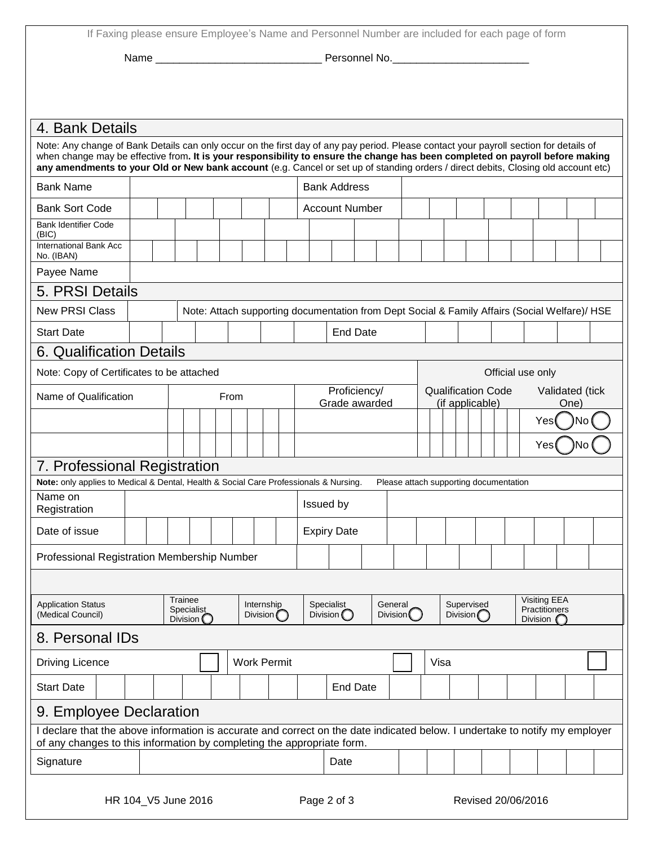If Faxing please ensure Employee's Name and Personnel Number are included for each page of form

Name \_\_\_\_\_\_\_\_\_\_\_\_\_\_\_\_\_\_\_\_\_\_\_\_\_\_\_\_ Personnel No.\_\_\_\_\_\_\_\_\_\_\_\_\_\_\_\_\_\_\_\_\_\_\_

| 4. Bank Details                                                                                                                                                                                                                                                                                                                                                                                               |                                                                                               |                 |                                               |  |  |  |                                  |                    |                               |                                          |  |         |                       |                                                                         |  |                                  |  |  |  |                                                              |  |  |
|---------------------------------------------------------------------------------------------------------------------------------------------------------------------------------------------------------------------------------------------------------------------------------------------------------------------------------------------------------------------------------------------------------------|-----------------------------------------------------------------------------------------------|-----------------|-----------------------------------------------|--|--|--|----------------------------------|--------------------|-------------------------------|------------------------------------------|--|---------|-----------------------|-------------------------------------------------------------------------|--|----------------------------------|--|--|--|--------------------------------------------------------------|--|--|
| Note: Any change of Bank Details can only occur on the first day of any pay period. Please contact your payroll section for details of<br>when change may be effective from. It is your responsibility to ensure the change has been completed on payroll before making<br>any amendments to your Old or New bank account (e.g. Cancel or set up of standing orders / direct debits, Closing old account etc) |                                                                                               |                 |                                               |  |  |  |                                  |                    |                               |                                          |  |         |                       |                                                                         |  |                                  |  |  |  |                                                              |  |  |
| <b>Bank Name</b>                                                                                                                                                                                                                                                                                                                                                                                              |                                                                                               |                 |                                               |  |  |  |                                  |                    |                               | <b>Bank Address</b>                      |  |         |                       |                                                                         |  |                                  |  |  |  |                                                              |  |  |
| <b>Bank Sort Code</b>                                                                                                                                                                                                                                                                                                                                                                                         |                                                                                               |                 |                                               |  |  |  |                                  |                    |                               | <b>Account Number</b>                    |  |         |                       |                                                                         |  |                                  |  |  |  |                                                              |  |  |
| <b>Bank Identifier Code</b><br>(BIC)                                                                                                                                                                                                                                                                                                                                                                          |                                                                                               |                 |                                               |  |  |  |                                  |                    |                               |                                          |  |         |                       |                                                                         |  |                                  |  |  |  |                                                              |  |  |
| International Bank Acc<br>No. (IBAN)                                                                                                                                                                                                                                                                                                                                                                          |                                                                                               |                 |                                               |  |  |  |                                  |                    |                               |                                          |  |         |                       |                                                                         |  |                                  |  |  |  |                                                              |  |  |
| Payee Name                                                                                                                                                                                                                                                                                                                                                                                                    |                                                                                               |                 |                                               |  |  |  |                                  |                    |                               |                                          |  |         |                       |                                                                         |  |                                  |  |  |  |                                                              |  |  |
| 5. PRSI Details                                                                                                                                                                                                                                                                                                                                                                                               |                                                                                               |                 |                                               |  |  |  |                                  |                    |                               |                                          |  |         |                       |                                                                         |  |                                  |  |  |  |                                                              |  |  |
| <b>New PRSI Class</b>                                                                                                                                                                                                                                                                                                                                                                                         | Note: Attach supporting documentation from Dept Social & Family Affairs (Social Welfare)/ HSE |                 |                                               |  |  |  |                                  |                    |                               |                                          |  |         |                       |                                                                         |  |                                  |  |  |  |                                                              |  |  |
| <b>Start Date</b>                                                                                                                                                                                                                                                                                                                                                                                             |                                                                                               | <b>End Date</b> |                                               |  |  |  |                                  |                    |                               |                                          |  |         |                       |                                                                         |  |                                  |  |  |  |                                                              |  |  |
| <b>6. Qualification Details</b>                                                                                                                                                                                                                                                                                                                                                                               |                                                                                               |                 |                                               |  |  |  |                                  |                    |                               |                                          |  |         |                       |                                                                         |  |                                  |  |  |  |                                                              |  |  |
| Note: Copy of Certificates to be attached<br>Official use only                                                                                                                                                                                                                                                                                                                                                |                                                                                               |                 |                                               |  |  |  |                                  |                    |                               |                                          |  |         |                       |                                                                         |  |                                  |  |  |  |                                                              |  |  |
| Name of Qualification                                                                                                                                                                                                                                                                                                                                                                                         | From                                                                                          |                 |                                               |  |  |  |                                  |                    | Proficiency/<br>Grade awarded |                                          |  |         |                       | <b>Qualification Code</b><br>Validated (tick<br>(if applicable)<br>One) |  |                                  |  |  |  |                                                              |  |  |
|                                                                                                                                                                                                                                                                                                                                                                                                               |                                                                                               |                 |                                               |  |  |  |                                  |                    |                               | No<br>Yes                                |  |         |                       |                                                                         |  |                                  |  |  |  |                                                              |  |  |
|                                                                                                                                                                                                                                                                                                                                                                                                               |                                                                                               |                 |                                               |  |  |  |                                  |                    |                               | Yes                                      |  |         |                       |                                                                         |  |                                  |  |  |  |                                                              |  |  |
| 7. Professional Registration                                                                                                                                                                                                                                                                                                                                                                                  |                                                                                               |                 |                                               |  |  |  |                                  |                    |                               |                                          |  |         |                       |                                                                         |  |                                  |  |  |  |                                                              |  |  |
| Note: only applies to Medical & Dental, Health & Social Care Professionals & Nursing.                                                                                                                                                                                                                                                                                                                         |                                                                                               |                 |                                               |  |  |  |                                  |                    |                               |                                          |  |         |                       | Please attach supporting documentation                                  |  |                                  |  |  |  |                                                              |  |  |
| Name on<br>Registration                                                                                                                                                                                                                                                                                                                                                                                       |                                                                                               |                 |                                               |  |  |  |                                  |                    |                               | Issued by                                |  |         |                       |                                                                         |  |                                  |  |  |  |                                                              |  |  |
| Date of issue                                                                                                                                                                                                                                                                                                                                                                                                 |                                                                                               |                 |                                               |  |  |  |                                  |                    |                               | <b>Expiry Date</b>                       |  |         |                       |                                                                         |  |                                  |  |  |  |                                                              |  |  |
| Professional Registration Membership Number                                                                                                                                                                                                                                                                                                                                                                   |                                                                                               |                 |                                               |  |  |  |                                  |                    |                               |                                          |  |         |                       |                                                                         |  |                                  |  |  |  |                                                              |  |  |
|                                                                                                                                                                                                                                                                                                                                                                                                               |                                                                                               |                 |                                               |  |  |  |                                  |                    |                               |                                          |  |         |                       |                                                                         |  |                                  |  |  |  |                                                              |  |  |
| <b>Application Status</b><br>(Medical Council)                                                                                                                                                                                                                                                                                                                                                                |                                                                                               |                 | Trainee<br>Specialist<br>Division $\mathbb C$ |  |  |  | Internship<br>Division $\bigcap$ |                    |                               | <b>Specialist</b><br>Division $\bigcirc$ |  | General | Division <sup>(</sup> |                                                                         |  | Supervised<br>Division $\bigcap$ |  |  |  | <b>Visiting EEA</b><br>Practitioners<br>Division $\mathbb C$ |  |  |
| 8. Personal IDs                                                                                                                                                                                                                                                                                                                                                                                               |                                                                                               |                 |                                               |  |  |  |                                  |                    |                               |                                          |  |         |                       |                                                                         |  |                                  |  |  |  |                                                              |  |  |
| <b>Driving Licence</b>                                                                                                                                                                                                                                                                                                                                                                                        |                                                                                               |                 |                                               |  |  |  |                                  | <b>Work Permit</b> |                               |                                          |  |         |                       | Visa                                                                    |  |                                  |  |  |  |                                                              |  |  |
| <b>Start Date</b>                                                                                                                                                                                                                                                                                                                                                                                             |                                                                                               |                 |                                               |  |  |  |                                  |                    |                               | <b>End Date</b>                          |  |         |                       |                                                                         |  |                                  |  |  |  |                                                              |  |  |
| 9. Employee Declaration                                                                                                                                                                                                                                                                                                                                                                                       |                                                                                               |                 |                                               |  |  |  |                                  |                    |                               |                                          |  |         |                       |                                                                         |  |                                  |  |  |  |                                                              |  |  |
| I declare that the above information is accurate and correct on the date indicated below. I undertake to notify my employer<br>of any changes to this information by completing the appropriate form.                                                                                                                                                                                                         |                                                                                               |                 |                                               |  |  |  |                                  |                    |                               |                                          |  |         |                       |                                                                         |  |                                  |  |  |  |                                                              |  |  |
| Signature                                                                                                                                                                                                                                                                                                                                                                                                     |                                                                                               |                 |                                               |  |  |  |                                  |                    |                               | Date                                     |  |         |                       |                                                                         |  |                                  |  |  |  |                                                              |  |  |
| Revised 20/06/2016<br>HR 104_V5 June 2016<br>Page 2 of 3                                                                                                                                                                                                                                                                                                                                                      |                                                                                               |                 |                                               |  |  |  |                                  |                    |                               |                                          |  |         |                       |                                                                         |  |                                  |  |  |  |                                                              |  |  |